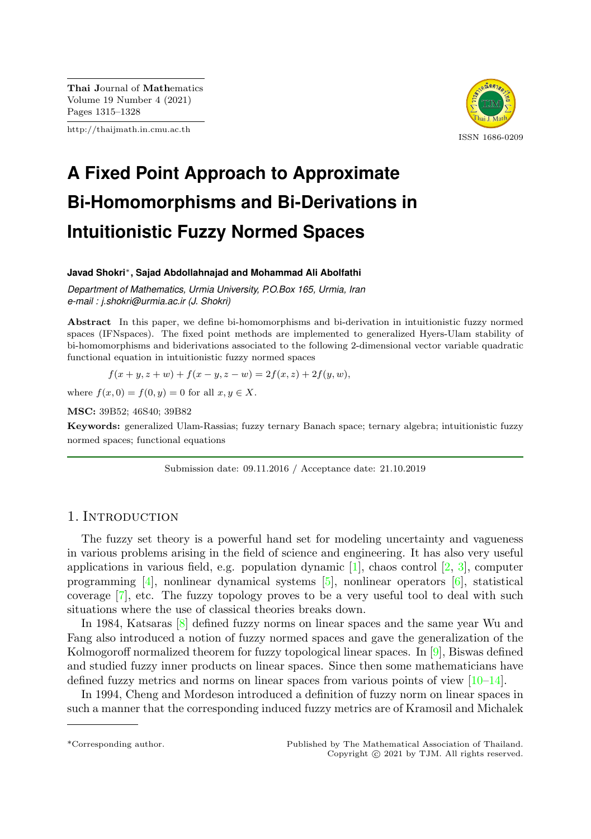Thai Journal of Mathematics Volume 19 Number 4 (2021) Pages 1315–1328

http://thaijmath.in.cmu.ac.th



# **A Fixed Point Approach to Approximate Bi-Homomorphisms and Bi-Derivations in Intuitionistic Fuzzy Normed Spaces**

#### **Javad Shokri**∗**, Sajad Abdollahnajad and Mohammad Ali Abolfathi**

*Department of Mathematics, Urmia University, P.O.Box 165, Urmia, Iran e-mail : j.shokri@urmia.ac.ir (J. Shokri)*

Abstract In this paper, we define bi-homomorphisms and bi-derivation in intuitionistic fuzzy normed spaces (IFNspaces). The fixed point methods are implemented to generalized Hyers-Ulam stability of bi-homomorphisms and biderivations associated to the following 2-dimensional vector variable quadratic functional equation in intuitionistic fuzzy normed spaces

$$
f(x + y, z + w) + f(x - y, z - w) = 2f(x, z) + 2f(y, w),
$$

where  $f(x, 0) = f(0, y) = 0$  for all  $x, y \in X$ .

MSC: 39B52; 46S40; 39B82

Keywords: generalized Ulam-Rassias; fuzzy ternary Banach space; ternary algebra; intuitionistic fuzzy normed spaces; functional equations

Submission date: 09.11.2016 / Acceptance date: 21.10.2019

### 1. INTRODUCTION

The fuzzy set theory is a powerful hand set for modeling uncertainty and vagueness in various problems arising in the field of science and engineering. It has also very useful applications in various field, e.g. population dynamic  $[1]$ , chaos control  $[2, 3]$  $[2, 3]$  $[2, 3]$ , computer programming  $[4]$ , nonlinear dynamical systems  $[5]$ , nonlinear operators  $[6]$ , statistical coverage [\[7\]](#page-12-6), etc. The fuzzy topology proves to be a very useful tool to deal with such situations where the use of classical theories breaks down.

In 1984, Katsaras [\[8\]](#page-12-7) defined fuzzy norms on linear spaces and the same year Wu and Fang also introduced a notion of fuzzy normed spaces and gave the generalization of the Kolmogoroff normalized theorem for fuzzy topological linear spaces. In  $[9]$ , Biswas defined and studied fuzzy inner products on linear spaces. Since then some mathematicians have defined fuzzy metrics and norms on linear spaces from various points of view [\[10–](#page-12-9)[14\]](#page-12-10).

In 1994, Cheng and Mordeson introduced a definition of fuzzy norm on linear spaces in such a manner that the corresponding induced fuzzy metrics are of Kramosil and Michalek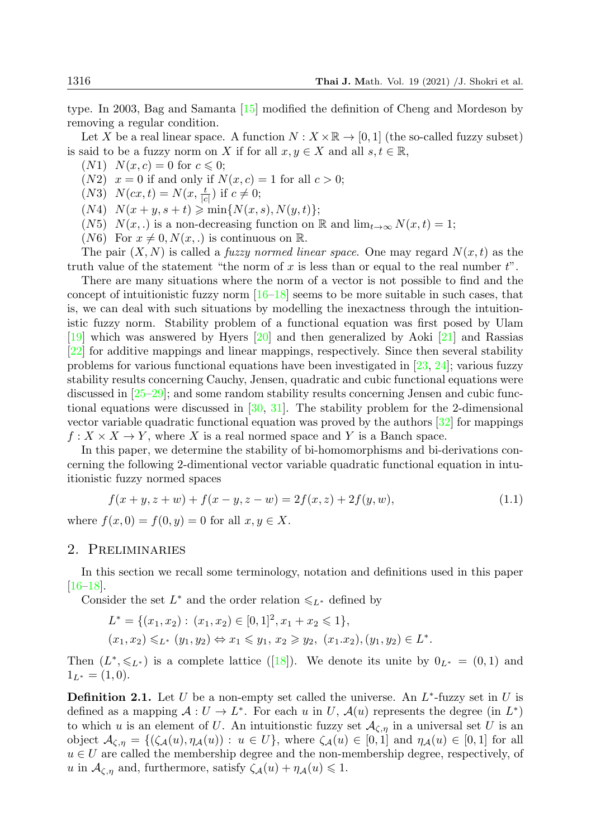type. In 2003, Bag and Samanta [\[15\]](#page-12-11) modified the definition of Cheng and Mordeson by removing a regular condition.

Let X be a real linear space. A function  $N : X \times \mathbb{R} \to [0,1]$  (the so-called fuzzy subset) is said to be a fuzzy norm on X if for all  $x, y \in X$  and all  $s, t \in \mathbb{R}$ ,

- $(N1)$   $N(x, c) = 0$  for  $c \le 0$ ;
- $(N2)$   $x = 0$  if and only if  $N(x, c) = 1$  for all  $c > 0$ ;
- (N3)  $N(cx, t) = N(x, \frac{t}{|c|})$  if  $c \neq 0$ ;
- $(N4)$   $N(x + y, s + t) \geq \min\{N(x, s), N(y, t)\};$
- (N5)  $N(x,.)$  is a non-decreasing function on R and  $\lim_{t\to\infty} N(x,t) = 1;$
- (N6) For  $x \neq 0, N(x, .)$  is continuous on R.

The pair  $(X, N)$  is called a *fuzzy normed linear space*. One may regard  $N(x, t)$  as the truth value of the statement "the norm of  $x$  is less than or equal to the real number  $t$ ".

There are many situations where the norm of a vector is not possible to find and the concept of intuitionistic fuzzy norm  $[16-18]$  $[16-18]$  seems to be more suitable in such cases, that is, we can deal with such situations by modelling the inexactness through the intuitionistic fuzzy norm. Stability problem of a functional equation was first posed by Ulam [\[19\]](#page-13-1) which was answered by Hyers [\[20\]](#page-13-2) and then generalized by Aoki [\[21\]](#page-13-3) and Rassias [\[22\]](#page-13-4) for additive mappings and linear mappings, respectively. Since then several stability problems for various functional equations have been investigated in  $[23, 24]$  $[23, 24]$  $[23, 24]$ ; various fuzzy stability results concerning Cauchy, Jensen, quadratic and cubic functional equations were discussed in [\[25](#page-13-7)[–29\]](#page-13-8); and some random stability results concerning Jensen and cubic functional equations were discussed in [\[30,](#page-13-9) [31\]](#page-13-10). The stability problem for the 2-dimensional vector variable quadratic functional equation was proved by the authors [\[32\]](#page-13-11) for mappings  $f: X \times X \to Y$ , where X is a real normed space and Y is a Banch space.

In this paper, we determine the stability of bi-homomorphisms and bi-derivations concerning the following 2-dimentional vector variable quadratic functional equation in intuitionistic fuzzy normed spaces

<span id="page-1-1"></span>
$$
f(x + y, z + w) + f(x - y, z - w) = 2f(x, z) + 2f(y, w),
$$
\n(1.1)

where  $f(x, 0) = f(0, y) = 0$  for all  $x, y \in X$ .

#### 2. Preliminaries

In this section we recall some terminology, notation and definitions used in this paper  $[16–18]$  $[16–18]$ .

Consider the set  $L^*$  and the order relation  $\leq L^*$  defined by

$$
L^* = \{(x_1, x_2) : (x_1, x_2) \in [0, 1]^2, x_1 + x_2 \le 1\},\
$$
  

$$
(x_1, x_2) \le L^* (y_1, y_2) \Leftrightarrow x_1 \le y_1, x_2 \ge y_2, (x_1.x_2), (y_1, y_2) \in L^*.
$$

Then  $(L^*, \leq L^*)$  is a complete lattice ([\[18\]](#page-13-0)). We denote its unite by  $0_{L^*} = (0, 1)$  and  $1_{L^*} = (1,0).$ 

<span id="page-1-0"></span>**Definition 2.1.** Let U be a non-empty set called the universe. An  $L^*$ -fuzzy set in U is defined as a mapping  $A: U \to L^*$ . For each u in U,  $\mathcal{A}(u)$  represents the degree (in  $L^*$ ) to which u is an element of U. An intuitionstic fuzzy set  $\mathcal{A}_{\zeta,\eta}$  in a universal set U is an object  $\mathcal{A}_{\zeta,\eta} = \{(\zeta_A(u), \eta_A(u)) : u \in U\}$ , where  $\zeta_A(u) \in [0,1]$  and  $\eta_A(u) \in [0,1]$  for all  $u \in U$  are called the membership degree and the non-membership degree, respectively, of u in  $\mathcal{A}_{\zeta,\eta}$  and, furthermore, satisfy  $\zeta_{\mathcal{A}}(u) + \eta_{\mathcal{A}}(u) \leq 1$ .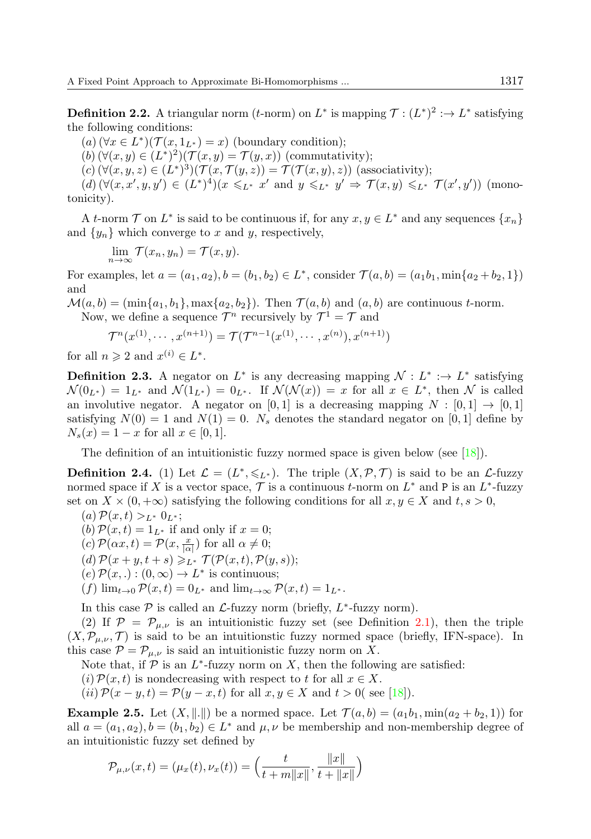**Definition 2.2.** A triangular norm (*t*-norm) on  $L^*$  is mapping  $\mathcal{T} : (L^*)^2 : \to L^*$  satisfying the following conditions:

 $(a)$   $(\forall x \in L^*) (\mathcal{T}(x, 1_{L^*}) = x)$  (boundary condition);

 $(b)$   $(\forall (x, y) \in (L^*)^2)(\mathcal{T}(x, y) = \mathcal{T}(y, x))$  (commutativity);

 $(c) (\forall (x, y, z) \in (L^*)^3)(\mathcal{T}(x, \mathcal{T}(y, z)) = \mathcal{T}(\mathcal{T}(x, y), z))$  (associativity);

 $(d) (\forall (x, x', y, y') \in (L^*)^4)(x \leq L^* x' \text{ and } y \leq L^* y' \Rightarrow \mathcal{T}(x, y) \leq L^* \mathcal{T}(x', y')) \text{ (mono-1)}$ tonicity).

A t-norm  $\mathcal T$  on  $L^*$  is said to be continuous if, for any  $x, y \in L^*$  and any sequences  $\{x_n\}$ and  $\{y_n\}$  which converge to x and y, respectively,

$$
\lim_{n \to \infty} \mathcal{T}(x_n, y_n) = \mathcal{T}(x, y).
$$

For examples, let  $a = (a_1, a_2), b = (b_1, b_2) \in L^*$ , consider  $\mathcal{T}(a, b) = (a_1b_1, \min\{a_2 + b_2, 1\})$ and

 $\mathcal{M}(a, b) = (\min\{a_1, b_1\}, \max\{a_2, b_2\})$ . Then  $\mathcal{T}(a, b)$  and  $(a, b)$  are continuous t-norm.

Now, we define a sequence  $\mathcal{T}^n$  recursively by  $\mathcal{T}^1 = \mathcal{T}$  and

$$
\mathcal{T}^n(x^{(1)}, \cdots, x^{(n+1)}) = \mathcal{T}(\mathcal{T}^{n-1}(x^{(1)}, \cdots, x^{(n)}), x^{(n+1)})
$$

for all  $n \geqslant 2$  and  $x^{(i)} \in L^*$ .

**Definition 2.3.** A negator on  $L^*$  is any decreasing mapping  $\mathcal{N}: L^* : \to L^*$  satisfying  $\mathcal{N}(0_{L^*}) = 1_{L^*}$  and  $\mathcal{N}(1_{L^*}) = 0_{L^*}$ . If  $\mathcal{N}(\mathcal{N}(x)) = x$  for all  $x \in L^*$ , then  $\mathcal{N}$  is called an involutive negator. A negator on [0, 1] is a decreasing mapping  $N : [0,1] \rightarrow [0,1]$ satisfying  $N(0) = 1$  and  $N(1) = 0$ .  $N_s$  denotes the standard negator on [0, 1] define by  $N_s(x) = 1 - x$  for all  $x \in [0, 1]$ .

The definition of an intuitionistic fuzzy normed space is given below (see [\[18\]](#page-13-0)).

**Definition 2.4.** (1) Let  $\mathcal{L} = (L^*, \leqslant_{L^*})$ . The triple  $(X, \mathcal{P}, \mathcal{T})$  is said to be an  $\mathcal{L}$ -fuzzy normed space if X is a vector space,  $\mathcal T$  is a continuous t-norm on  $L^*$  and P is an  $L^*$ -fuzzy set on  $X \times (0, +\infty)$  satisfying the following conditions for all  $x, y \in X$  and  $t, s > 0$ ,

 $(a) \mathcal{P}(x,t) >_{L^*} 0_{L^*};$ 

(b)  $\mathcal{P}(x, t) = 1_{L^*}$  if and only if  $x = 0$ ;

 $(c) \mathcal{P}(\alpha x, t) = \mathcal{P}(x, \frac{x}{|\alpha|})$  for all  $\alpha \neq 0;$ 

 $(d) \mathcal{P}(x+y,t+s) \geqslant_{L^*} \mathcal{T}(\mathcal{P}(x,t),\mathcal{P}(y,s));$ 

 $(e) \mathcal{P}(x, .) : (0, \infty) \to L^*$  is continuous;

 $(f)$  lim<sub>t→0</sub>  $\mathcal{P}(x,t) = 0$ <sub>L</sub><sup>\*</sup> and lim<sub>t→∞</sub>  $\mathcal{P}(x,t) = 1$ <sub>L</sub><sup>\*</sup>.

In this case  $P$  is called an  $\mathcal{L}$ -fuzzy norm (briefly,  $L^*$ -fuzzy norm).

(2) If  $\mathcal{P} = \mathcal{P}_{\mu,\nu}$  is an intuitionistic fuzzy set (see Definition [2.1\)](#page-1-0), then the triple  $(X,\mathcal{P}_{\mu,\nu},\mathcal{T})$  is said to be an intuitionstic fuzzy normed space (briefly, IFN-space). In this case  $\mathcal{P} = \mathcal{P}_{\mu,\nu}$  is said an intuitionistic fuzzy norm on X.

Note that, if  $\mathcal P$  is an  $L^*$ -fuzzy norm on X, then the following are satisfied:

(i)  $\mathcal{P}(x, t)$  is nondecreasing with respect to t for all  $x \in X$ .

(ii)  $\mathcal{P}(x-y,t) = \mathcal{P}(y-x,t)$  for all  $x, y \in X$  and  $t > 0$  (see [\[18\]](#page-13-0)).

**Example 2.5.** Let  $(X, \|.\|)$  be a normed space. Let  $\mathcal{T}(a, b) = (a_1b_1, \min(a_2 + b_2, 1))$  for all  $a = (a_1, a_2), b = (b_1, b_2) \in L^*$  and  $\mu, \nu$  be membership and non-membership degree of an intuitionistic fuzzy set defined by

$$
\mathcal{P}_{\mu,\nu}(x,t) = (\mu_x(t), \nu_x(t)) = \left(\frac{t}{t+m||x||}, \frac{||x||}{t+||x||}\right)
$$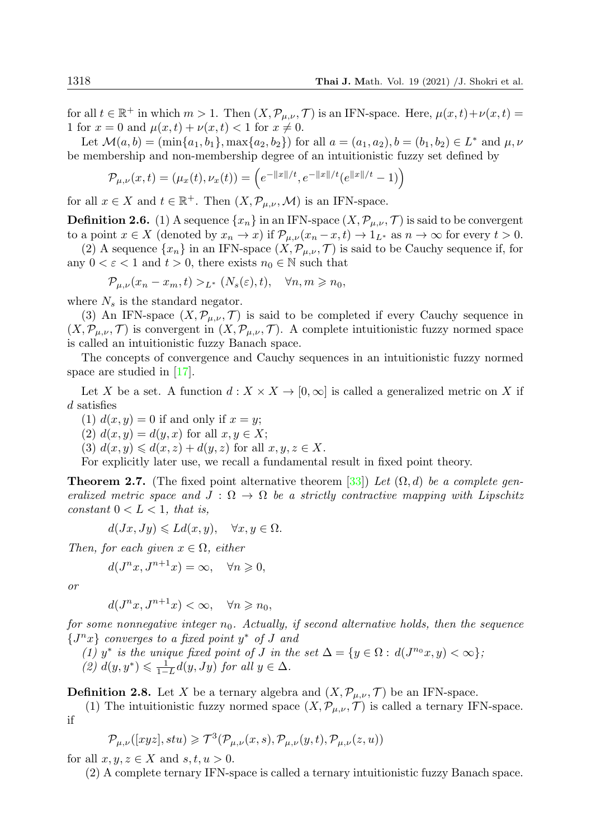for all  $t \in \mathbb{R}^+$  in which  $m > 1$ . Then  $(X, \mathcal{P}_{\mu,\nu}, \mathcal{T})$  is an IFN-space. Here,  $\mu(x, t) + \nu(x, t) =$ 1 for  $x = 0$  and  $\mu(x, t) + \nu(x, t) < 1$  for  $x \neq 0$ .

Let  $\mathcal{M}(a, b) = (\min\{a_1, b_1\}, \max\{a_2, b_2\})$  for all  $a = (a_1, a_2), b = (b_1, b_2) \in L^*$  and  $\mu, \nu$ be membership and non-membership degree of an intuitionistic fuzzy set defined by

$$
\mathcal{P}_{\mu,\nu}(x,t) = (\mu_x(t), \nu_x(t)) = \left(e^{-\|x\|/t}, e^{-\|x\|/t}(e^{\|x\|/t} - 1)\right)
$$

for all  $x \in X$  and  $t \in \mathbb{R}^+$ . Then  $(X, \mathcal{P}_{\mu,\nu}, \mathcal{M})$  is an IFN-space.

**Definition 2.6.** (1) A sequence  $\{x_n\}$  in an IFN-space  $(X, \mathcal{P}_{\mu,\nu}, \mathcal{T})$  is said to be convergent to a point  $x \in X$  (denoted by  $x_n \to x$ ) if  $\mathcal{P}_{\mu,\nu}(x_n-x,t) \to 1_{L^*}$  as  $n \to \infty$  for every  $t > 0$ .

(2) A sequence  $\{x_n\}$  in an IFN-space  $(X, \mathcal{P}_{\mu,\nu}, \mathcal{T})$  is said to be Cauchy sequence if, for any  $0 < \varepsilon < 1$  and  $t > 0$ , there exists  $n_0 \in \mathbb{N}$  such that

$$
\mathcal{P}_{\mu,\nu}(x_n - x_m, t) >_{L^*} (N_s(\varepsilon), t), \quad \forall n, m \geq n_0,
$$

where  $N_s$  is the standard negator.

(3) An IFN-space  $(X, \mathcal{P}_{\mu,\nu}, \mathcal{T})$  is said to be completed if every Cauchy sequence in  $(X,\mathcal{P}_{\mu,\nu},\mathcal{T})$  is convergent in  $(X,\mathcal{P}_{\mu,\nu},\mathcal{T})$ . A complete intuitionistic fuzzy normed space is called an intuitionistic fuzzy Banach space.

The concepts of convergence and Cauchy sequences in an intuitionistic fuzzy normed space are studied in [\[17\]](#page-13-12).

Let X be a set. A function  $d: X \times X \to [0, \infty]$  is called a generalized metric on X if d satisfies

(1)  $d(x, y) = 0$  if and only if  $x = y$ ;

(2)  $d(x, y) = d(y, x)$  for all  $x, y \in X$ ;

(3)  $d(x, y) \leq d(x, z) + d(y, z)$  for all  $x, y, z \in X$ .

For explicitly later use, we recall a fundamental result in fixed point theory.

<span id="page-3-0"></span>**Theorem 2.7.** (The fixed point alternative theorem [\[33\]](#page-13-13)) Let  $(\Omega, d)$  be a complete generalized metric space and  $J : \Omega \to \Omega$  be a strictly contractive mapping with Lipschitz constant  $0 < L < 1$ , that is,

$$
d(Jx, Jy) \leq Ld(x, y), \quad \forall x, y \in \Omega.
$$

Then, for each given  $x \in \Omega$ , either

$$
d(J^n x, J^{n+1} x) = \infty, \quad \forall n \geqslant 0,
$$

or

$$
d(J^{n}x, J^{n+1}x) < \infty, \quad \forall n \geq n_0,
$$

for some nonnegative integer  $n_0$ . Actually, if second alternative holds, then the sequence  ${J<sup>n</sup>x}$  converges to a fixed point y<sup>\*</sup> of J and

(1) y<sup>\*</sup> is the unique fixed point of J in the set  $\Delta = \{y \in \Omega : d(J^{n_0}x, y) < \infty\}$ ;

(2)  $d(y, y^*) \leq \frac{1}{1-L} d(y, Jy)$  for all  $y \in \Delta$ .

**Definition 2.8.** Let X be a ternary algebra and  $(X, \mathcal{P}_{\mu,\nu}, \mathcal{T})$  be an IFN-space.

(1) The intuitionistic fuzzy normed space  $(X, \mathcal{P}_{\mu,\nu}, \mathcal{T})$  is called a ternary IFN-space. if

$$
\mathcal{P}_{\mu,\nu}([xyz],stu) \geqslant \mathcal{T}^3(\mathcal{P}_{\mu,\nu}(x,s),\mathcal{P}_{\mu,\nu}(y,t),\mathcal{P}_{\mu,\nu}(z,u))
$$

for all  $x, y, z \in X$  and  $s, t, u > 0$ .

(2) A complete ternary IFN-space is called a ternary intuitionistic fuzzy Banach space.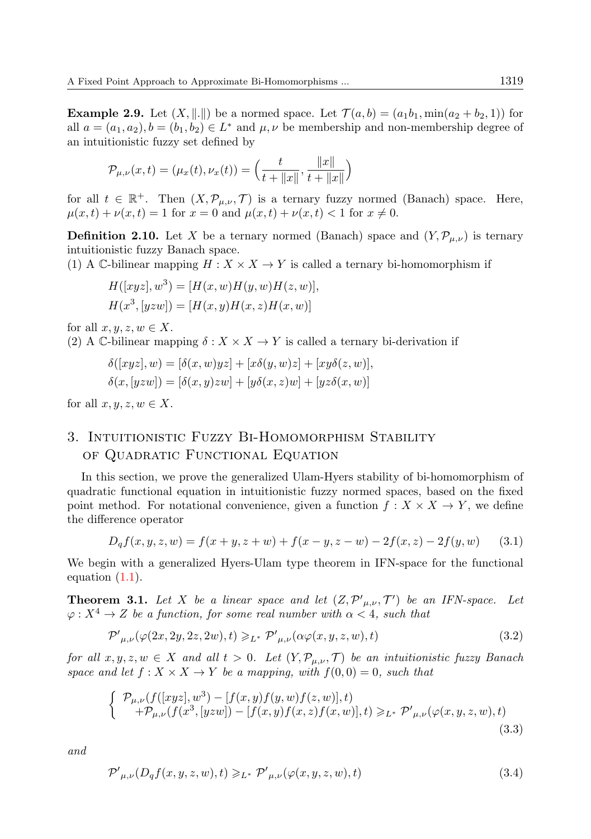<span id="page-4-5"></span>**Example 2.9.** Let  $(X, \|.\|)$  be a normed space. Let  $\mathcal{T}(a, b) = (a_1b_1, \min(a_2 + b_2, 1))$  for all  $a = (a_1, a_2), b = (b_1, b_2) \in L^*$  and  $\mu, \nu$  be membership and non-membership degree of an intuitionistic fuzzy set defined by

$$
\mathcal{P}_{\mu,\nu}(x,t) = (\mu_x(t), \nu_x(t)) = \left(\frac{t}{t + \|x\|}, \frac{\|x\|}{t + \|x\|}\right)
$$

for all  $t \in \mathbb{R}^+$ . Then  $(X, \mathcal{P}_{\mu,\nu}, \mathcal{T})$  is a ternary fuzzy normed (Banach) space. Here,  $\mu(x, t) + \nu(x, t) = 1$  for  $x = 0$  and  $\mu(x, t) + \nu(x, t) < 1$  for  $x \neq 0$ .

**Definition 2.10.** Let X be a ternary normed (Banach) space and  $(Y, \mathcal{P}_{\mu,\nu})$  is ternary intuitionistic fuzzy Banach space.

(1) A C-bilinear mapping  $H : X \times X \to Y$  is called a ternary bi-homomorphism if

$$
H([xyz], w3) = [H(x, w)H(y, w)H(z, w)],
$$
  

$$
H(x3, [yzw]) = [H(x, y)H(x, z)H(x, w)]
$$

for all  $x, y, z, w \in X$ .

(2) A C-bilinear mapping  $\delta: X \times X \to Y$  is called a ternary bi-derivation if

$$
\delta([xyz], w) = [\delta(x, w)yz] + [x\delta(y, w)z] + [xy\delta(z, w)],
$$
  

$$
\delta(x, [yzw]) = [\delta(x, y)zw] + [y\delta(x, z)w] + [yz\delta(x, w)]
$$

for all  $x, y, z, w \in X$ .

## 3. Intuitionistic Fuzzy Bi-Homomorphism Stability of Quadratic Functional Equation

In this section, we prove the generalized Ulam-Hyers stability of bi-homomorphism of quadratic functional equation in intuitionistic fuzzy normed spaces, based on the fixed point method. For notational convenience, given a function  $f : X \times X \to Y$ , we define the difference operator

<span id="page-4-4"></span>
$$
D_q f(x, y, z, w) = f(x + y, z + w) + f(x - y, z - w) - 2f(x, z) - 2f(y, w)
$$
 (3.1)

We begin with a generalized Hyers-Ulam type theorem in IFN-space for the functional equation [\(1.1\)](#page-1-1).

<span id="page-4-3"></span>**Theorem 3.1.** Let X be a linear space and let  $(Z, \mathcal{P}'_{\mu,\nu}, \mathcal{T}')$  be an IFN-space. Let  $\varphi: X^4 \to Z$  be a function, for some real number with  $\alpha < 4$ , such that

<span id="page-4-0"></span>
$$
\mathcal{P}'_{\mu,\nu}(\varphi(2x,2y,2z,2w),t) \geqslant_{L^*} \mathcal{P}'_{\mu,\nu}(\alpha\varphi(x,y,z,w),t)
$$
\n(3.2)

for all  $x, y, z, w \in X$  and all  $t > 0$ . Let  $(Y, \mathcal{P}_{\mu,\nu}, \mathcal{T})$  be an intuitionistic fuzzy Banach space and let  $f: X \times X \rightarrow Y$  be a mapping, with  $f(0,0) = 0$ , such that

<span id="page-4-2"></span>
$$
\begin{cases}\n\mathcal{P}_{\mu,\nu}(f([xyz], w^3) - [f(x, y)f(y, w)f(z, w)], t) \\
+ \mathcal{P}_{\mu,\nu}(f(x^3, [yzw]) - [f(x, y)f(x, z)f(x, w)], t) \geq_{L^*} \mathcal{P}'_{\mu,\nu}(\varphi(x, y, z, w), t)\n\end{cases}
$$
\n(3.3)

<span id="page-4-1"></span>and

$$
\mathcal{P}'_{\mu,\nu}(D_qf(x,y,z,w),t) \geqslant_{L^*} \mathcal{P}'_{\mu,\nu}(\varphi(x,y,z,w),t)
$$
\n(3.4)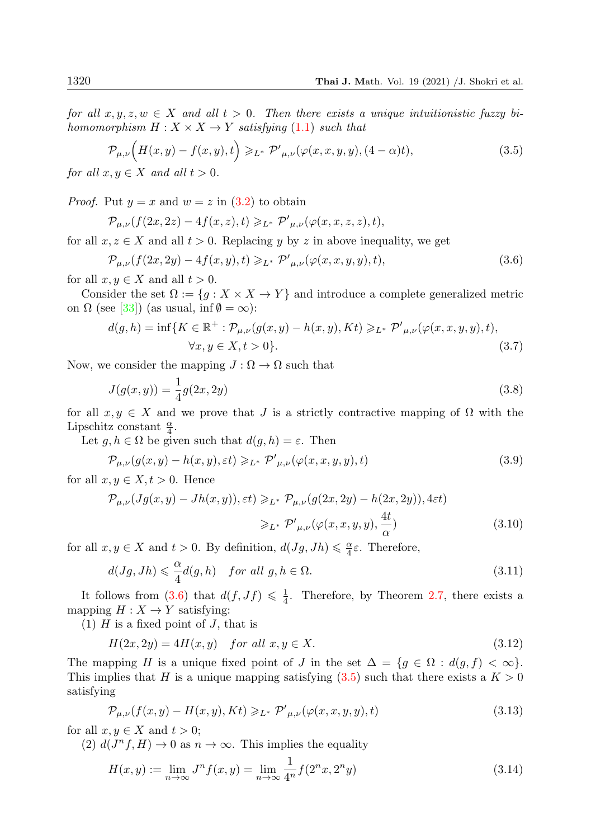for all  $x, y, z, w \in X$  and all  $t > 0$ . Then there exists a unique intuitionistic fuzzy bihomomorphism  $H : X \times X \rightarrow Y$  satisfying [\(1](#page-1-1).1) such that

<span id="page-5-1"></span>
$$
\mathcal{P}_{\mu,\nu}\Big(H(x,y) - f(x,y),t\Big) \geqslant_{L^*} \mathcal{P}'_{\mu,\nu}(\varphi(x,x,y,y), (4-\alpha)t),\tag{3.5}
$$

for all  $x, y \in X$  and all  $t > 0$ .

*Proof.* Put  $y = x$  and  $w = z$  in  $(3.2)$  to obtain

<span id="page-5-0"></span> $\mathcal{P}_{\mu,\nu}(f(2x,2z) - 4f(x,z),t) \geqslant_{L^*} \mathcal{P'}_{\mu,\nu}(\varphi(x,x,z,z),t),$ 

for all  $x, z \in X$  and all  $t > 0$ . Replacing y by z in above inequality, we get

$$
\mathcal{P}_{\mu,\nu}(f(2x,2y) - 4f(x,y),t) \geqslant_{L^*} \mathcal{P}'_{\mu,\nu}(\varphi(x,x,y,y),t),\tag{3.6}
$$

for all  $x, y \in X$  and all  $t > 0$ .

Consider the set  $\Omega := \{g : X \times X \to Y\}$  and introduce a complete generalized metric on  $\Omega$  (see [\[33\]](#page-13-13)) (as usual, inf  $\emptyset = \infty$ ):

$$
d(g,h) = \inf\{K \in \mathbb{R}^+ : \mathcal{P}_{\mu,\nu}(g(x,y) - h(x,y), Kt) \geq L^* \mathcal{P}'_{\mu,\nu}(\varphi(x,x,y,y),t),
$$
  

$$
\forall x, y \in X, t > 0\}.
$$
 (3.7)

Now, we consider the mapping  $J : \Omega \to \Omega$  such that

$$
J(g(x, y)) = \frac{1}{4}g(2x, 2y)
$$
\n(3.8)

for all  $x, y \in X$  and we prove that J is a strictly contractive mapping of  $\Omega$  with the Lipschitz constant  $\frac{\alpha}{4}$ .

Let  $g, h \in \Omega$  be given such that  $d(g, h) = \varepsilon$ . Then

<span id="page-5-2"></span>
$$
\mathcal{P}_{\mu,\nu}(g(x,y) - h(x,y),\varepsilon t) \geqslant_{L^*} \mathcal{P}'_{\mu,\nu}(\varphi(x,x,y,y),t) \tag{3.9}
$$

for all  $x, y \in X, t > 0$ . Hence

$$
\mathcal{P}_{\mu,\nu}(Jg(x,y) - Jh(x,y)),\varepsilon t) \geqslant_{L^*} \mathcal{P}_{\mu,\nu}(g(2x,2y) - h(2x,2y)),4\varepsilon t)
$$
  

$$
\geqslant_{L^*} \mathcal{P}'_{\mu,\nu}(\varphi(x,x,y,y),\frac{4t}{\alpha})
$$
(3.10)

for all  $x, y \in X$  and  $t > 0$ . By definition,  $d(Jg, Jh) \leq \frac{\alpha}{4}\varepsilon$ . Therefore,

$$
d(Jg, Jh) \leq \frac{\alpha}{4}d(g, h) \quad \text{for all } g, h \in \Omega. \tag{3.11}
$$

It follows from  $(3.6)$  that  $d(f, Jf) \leq \frac{1}{4}$ . Therefore, by Theorem [2.7,](#page-3-0) there exists a mapping  $H : X \to Y$  satisfying:

(1)  $H$  is a fixed point of  $J$ , that is

$$
H(2x, 2y) = 4H(x, y) \quad \text{for all } x, y \in X. \tag{3.12}
$$

The mapping H is a unique fixed point of J in the set  $\Delta = \{g \in \Omega : d(g, f) < \infty\}.$ This implies that H is a unique mapping satisfying  $(3.5)$  such that there exists a  $K > 0$ satisfying

$$
\mathcal{P}_{\mu,\nu}(f(x,y) - H(x,y), Kt) \geq L^* \mathcal{P}'_{\mu,\nu}(\varphi(x,x,y,y),t)
$$
\n(3.13)

for all  $x, y \in X$  and  $t > 0$ ;

(2)  $d(J^n f, H) \to 0$  as  $n \to \infty$ . This implies the equality

$$
H(x,y) := \lim_{n \to \infty} J^n f(x,y) = \lim_{n \to \infty} \frac{1}{4^n} f(2^n x, 2^n y)
$$
\n(3.14)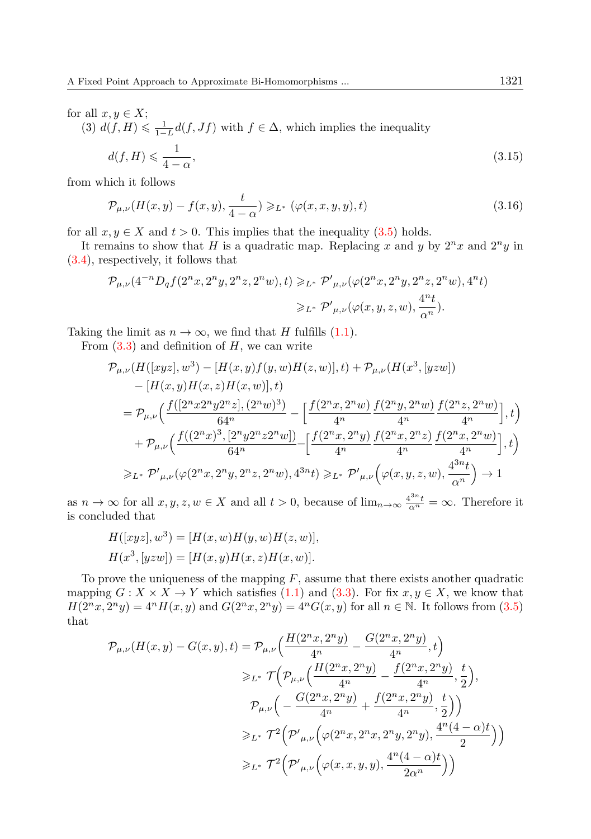for all  $x, y \in X$ ;

(3)  $d(f, H) \leq \frac{1}{1-L}d(f, Jf)$  with  $f \in \Delta$ , which implies the inequality

$$
d(f, H) \leqslant \frac{1}{4 - \alpha},\tag{3.15}
$$

from which it follows

$$
\mathcal{P}_{\mu,\nu}(H(x,y) - f(x,y), \frac{t}{4-\alpha}) \geqslant_{L^*} (\varphi(x,x,y,y), t)
$$
\n
$$
(3.16)
$$

for all  $x, y \in X$  and  $t > 0$ . This implies that the inequality  $(3.5)$  holds.

It remains to show that H is a quadratic map. Replacing x and y by  $2^n x$  and  $2^n y$  in [\(3.4\)](#page-4-1), respectively, it follows that

$$
\begin{split} \mathcal{P}_{\mu,\nu}(4^{-n}D_qf(2^nx,2^ny,2^nz,2^nw),t) \geqslant_{L^*} \mathcal{P'}_{\mu,\nu}(\varphi(2^nx,2^ny,2^nz,2^nw),4^nt) \\ \geqslant_{L^*} \mathcal{P'}_{\mu,\nu}(\varphi(x,y,z,w),\frac{4^nt}{\alpha^n}). \end{split}
$$

Taking the limit as  $n \to \infty$ , we find that H fulfills [\(1.1\)](#page-1-1).

From  $(3.3)$  and definition of H, we can write

$$
\begin{split} \mathcal{P}_{\mu,\nu}&(H([xyz],w^3)-[H(x,y)f(y,w)H(z,w)],t)+\mathcal{P}_{\mu,\nu}(H(x^3,[yzw])\\ &-[H(x,y)H(x,z)H(x,w)],t)\\ &=\mathcal{P}_{\mu,\nu}\Big(\frac{f([2^nx2^ny2^nz],(2^nw)^3)}{64^n}-\Big[\frac{f(2^nx,2^nw)}{4^n}\frac{f(2^ny,2^nw)}{4^n}\frac{f(2^nz,2^nw)}{4^n}\Big],t\Big)\\ &+\mathcal{P}_{\mu,\nu}\Big(\frac{f((2^nx)^3,[2^ny2^nz2^nw])}{64^n}-\Big[\frac{f(2^nx,2^ny)}{4^n}\frac{f(2^nx,2^nz)}{4^n}\frac{f(2^nx,2^nw)}{4^n}\Big],t\Big)\\ \geqslant_{L^*}\mathcal{P'}_{\mu,\nu}\big(\varphi(2^nx,2^ny,2^nz,2^nw),4^{3n}t\big)\geqslant_{L^*}\mathcal{P'}_{\mu,\nu}\Big(\varphi(x,y,z,w),\frac{4^{3n}t}{\alpha^n}\Big)\rightarrow 1 \end{split}
$$

as  $n \to \infty$  for all  $x, y, z, w \in X$  and all  $t > 0$ , because of  $\lim_{n \to \infty} \frac{4^{3n} t}{\alpha^n} = \infty$ . Therefore it is concluded that

$$
H([xyz], w3) = [H(x, w)H(y, w)H(z, w)],
$$
  

$$
H(x3, [yzw]) = [H(x, y)H(x, z)H(x, w)].
$$

To prove the uniqueness of the mapping  $F$ , assume that there exists another quadratic mapping  $G: X \times X \to Y$  which satisfies [\(1.1\)](#page-1-1) and [\(3.3\)](#page-4-2). For fix  $x, y \in X$ , we know that  $H(2^n x, 2^n y) = 4^n H(x, y)$  and  $G(2^n x, 2^n y) = 4^n G(x, y)$  for all  $n \in \mathbb{N}$ . It follows from  $(3.5)$ that

$$
\mathcal{P}_{\mu,\nu}(H(x,y) - G(x,y),t) = \mathcal{P}_{\mu,\nu}\Big(\frac{H(2^n x, 2^n y)}{4^n} - \frac{G(2^n x, 2^n y)}{4^n},t\Big)
$$
  
\n
$$
\geq_{L^*} \mathcal{T}\Big(\mathcal{P}_{\mu,\nu}\Big(\frac{H(2^n x, 2^n y)}{4^n} - \frac{f(2^n x, 2^n y)}{4^n},\frac{t}{2}\Big),
$$
  
\n
$$
\mathcal{P}_{\mu,\nu}\Big(-\frac{G(2^n x, 2^n y)}{4^n} + \frac{f(2^n x, 2^n y)}{4^n},\frac{t}{2}\Big)\Big)
$$
  
\n
$$
\geq_{L^*} \mathcal{T}^2\Big(\mathcal{P'}_{\mu,\nu}\Big(\varphi(2^n x, 2^n x, 2^n y, 2^n y),\frac{4^n (4-\alpha)t}{2}\Big)\Big)
$$
  
\n
$$
\geq_{L^*} \mathcal{T}^2\Big(\mathcal{P'}_{\mu,\nu}\Big(\varphi(x, x, y, y),\frac{4^n (4-\alpha)t}{2\alpha^n}\Big)\Big)
$$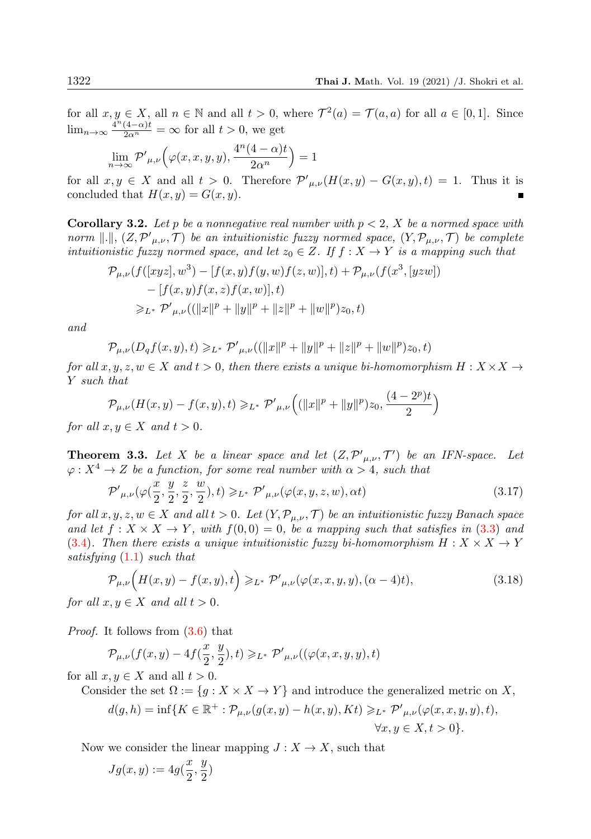for all  $x, y \in X$ , all  $n \in \mathbb{N}$  and all  $t > 0$ , where  $\mathcal{T}^2(a) = \mathcal{T}(a, a)$  for all  $a \in [0, 1]$ . Since  $\lim_{n\to\infty} \frac{4^n (4-\alpha)t}{2\alpha^n} = \infty$  for all  $t > 0$ , we get

$$
\lim_{n \to \infty} \mathcal{P}'_{\mu,\nu} \Big( \varphi(x,x,y,y), \frac{4^n (4-\alpha)t}{2\alpha^n} \Big) = 1
$$

for all  $x, y \in X$  and all  $t > 0$ . Therefore  $\mathcal{P}'_{\mu,\nu}(H(x,y) - G(x,y), t) = 1$ . Thus it is concluded that  $H(x, y) = G(x, y)$ .

**Corollary 3.2.** Let p be a nonnegative real number with  $p < 2$ , X be a normed space with norm  $\Vert . \Vert, (Z, \mathcal{P'}_{\mu,\nu}, \mathcal{T})$  be an intuitionistic fuzzy normed space,  $(Y, \mathcal{P}_{\mu,\nu}, \mathcal{T})$  be complete intuitionistic fuzzy normed space, and let  $z_0 \in Z$ . If  $f : X \to Y$  is a mapping such that

$$
\mathcal{P}_{\mu,\nu}(f([xyz], w^3) - [f(x, y)f(y, w)f(z, w)], t) + \mathcal{P}_{\mu,\nu}(f(x^3, [yzw])- [f(x, y)f(x, z)f(x, w)], t)\geq_L^* \mathcal{P}'_{\mu,\nu}((\|x\|^p + \|y\|^p + \|z\|^p + \|w\|^p)z_0, t)
$$

and

$$
\mathcal{P}_{\mu,\nu}(D_qf(x,y),t) \geq L^* \mathcal{P}'_{\mu,\nu}((\|x\|^p + \|y\|^p + \|z\|^p + \|w\|^p)z_0,t)
$$

for all  $x, y, z, w \in X$  and  $t > 0$ , then there exists a unique bi-homomorphism  $H: X \times X \rightarrow$ Y such that

$$
\mathcal{P}_{\mu,\nu}(H(x,y)-f(x,y),t)\geqslant_{L^*}\mathcal{P'}_{\mu,\nu}\Big((\|x\|^p+\|y\|^p)z_0,\frac{(4-2^p)t}{2}\Big)
$$

for all  $x, y \in X$  and  $t > 0$ .

<span id="page-7-2"></span>**Theorem 3.3.** Let X be a linear space and let  $(Z, \mathcal{P}'_{\mu,\nu}, \mathcal{T}')$  be an IFN-space. Let  $\varphi: X^4 \to Z$  be a function, for some real number with  $\alpha > 4$ , such that

<span id="page-7-0"></span>
$$
\mathcal{P}'_{\mu,\nu}(\varphi(\frac{x}{2},\frac{y}{2},\frac{z}{2},\frac{w}{2}),t) \geqslant_{L^*} \mathcal{P}'_{\mu,\nu}(\varphi(x,y,z,w),\alpha t)
$$
\n(3.17)

for all  $x, y, z, w \in X$  and all  $t > 0$ . Let  $(Y, \mathcal{P}_{\mu,\nu}, \mathcal{T})$  be an intuitionistic fuzzy Banach space and let  $f: X \times X \to Y$ , with  $f(0,0) = 0$ , be a mapping such that satisfies in (3.[3\)](#page-4-2) and (3.[4\)](#page-4-1). Then there exists a unique intuitionistic fuzzy bi-homomorphism  $H: X \times X \rightarrow Y$ satisfying (1.[1\)](#page-1-1) such that

<span id="page-7-1"></span>
$$
\mathcal{P}_{\mu,\nu}\Big(H(x,y) - f(x,y),t\Big) \geqslant_{L^*} \mathcal{P}'_{\mu,\nu}(\varphi(x,x,y,y),(\alpha-4)t),\tag{3.18}
$$

for all  $x, y \in X$  and all  $t > 0$ .

Proof. It follows from [\(3.6\)](#page-5-0) that

$$
\mathcal{P}_{\mu,\nu}(f(x,y)-4f(\frac{x}{2},\frac{y}{2}),t) \geqslant_{L^*} \mathcal{P'}_{\mu,\nu}((\varphi(x,x,y,y),t))
$$

for all  $x, y \in X$  and all  $t > 0$ .

Consider the set  $\Omega := \{g : X \times X \to Y\}$  and introduce the generalized metric on X,

$$
d(g, h) = \inf \{ K \in \mathbb{R}^+ : \mathcal{P}_{\mu, \nu}(g(x, y) - h(x, y), Kt) \geq L^* \mathcal{P}'_{\mu, \nu}(\varphi(x, x, y, y), t), \forall x, y \in X, t > 0 \}.
$$

Now we consider the linear mapping  $J: X \to X$ , such that

$$
Jg(x,y):=4g(\frac{x}{2},\frac{y}{2})
$$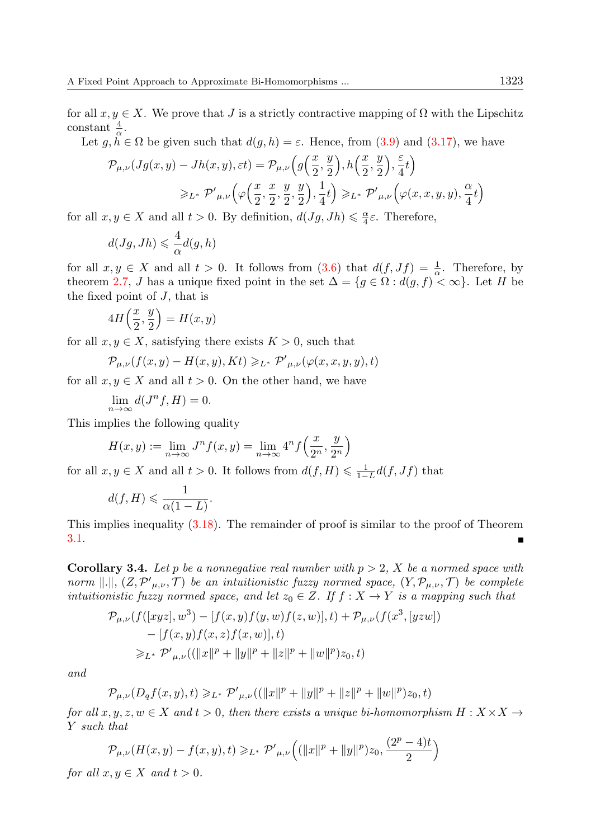for all  $x, y \in X$ . We prove that J is a strictly contractive mapping of  $\Omega$  with the Lipschitz constant  $\frac{4}{\alpha}$ .

Let  $g, \tilde{h} \in \Omega$  be given such that  $d(g, h) = \varepsilon$ . Hence, from [\(3.9\)](#page-5-2) and [\(3.17\)](#page-7-0), we have

$$
\mathcal{P}_{\mu,\nu}(Jg(x,y) - Jh(x,y),\varepsilon t) = \mathcal{P}_{\mu,\nu}\left(g\left(\frac{x}{2},\frac{y}{2}\right), h\left(\frac{x}{2},\frac{y}{2}\right), \frac{\varepsilon}{4}t\right)
$$

$$
\geq L^* \mathcal{P}'_{\mu,\nu}\left(\varphi\left(\frac{x}{2},\frac{x}{2},\frac{y}{2},\frac{y}{2}\right), \frac{1}{4}t\right) \geq L^* \mathcal{P}'_{\mu,\nu}\left(\varphi(x,x,y,y),\frac{\alpha}{4}t\right)
$$

for all  $x, y \in X$  and all  $t > 0$ . By definition,  $d(Jg, Jh) \leq \frac{\alpha}{4}\varepsilon$ . Therefore,

$$
d(Jg, Jh) \leqslant \frac{4}{\alpha}d(g, h)
$$

for all  $x, y \in X$  and all  $t > 0$ . It follows from  $(3.6)$  that  $d(f, Jf) = \frac{1}{\alpha}$ . Therefore, by theorem [2.7,](#page-3-0) J has a unique fixed point in the set  $\Delta = \{g \in \Omega : d(g, f) < \infty\}$ . Let H be the fixed point of  $J$ , that is

$$
4H\left(\frac{x}{2},\frac{y}{2}\right) = H(x,y)
$$

for all  $x, y \in X$ , satisfying there exists  $K > 0$ , such that

$$
\mathcal{P}_{\mu,\nu}(f(x,y)-H(x,y),Kt)\geqslant_{L^*}\mathcal{P'}_{\mu,\nu}(\varphi(x,x,y,y),t)
$$

for all  $x, y \in X$  and all  $t > 0$ . On the other hand, we have

$$
\lim_{n \to \infty} d(J^n f, H) = 0.
$$

This implies the following quality

$$
H(x,y) := \lim_{n \to \infty} J^n f(x,y) = \lim_{n \to \infty} 4^n f\left(\frac{x}{2^n}, \frac{y}{2^n}\right)
$$

for all  $x, y \in X$  and all  $t > 0$ . It follows from  $d(f, H) \leq \frac{1}{1-L}d(f, Jf)$  that

$$
d(f,H) \leqslant \frac{1}{\alpha(1-L)}.
$$

This implies inequality [\(3.18\)](#page-7-1). The remainder of proof is similar to the proof of Theorem [3.1.](#page-4-3) п

**Corollary 3.4.** Let p be a nonnegative real number with  $p > 2$ , X be a normed space with norm  $\Vert . \Vert, (Z, \mathcal{P'}_{\mu,\nu}, \mathcal{T})$  be an intuitionistic fuzzy normed space,  $(Y, \mathcal{P}_{\mu,\nu}, \mathcal{T})$  be complete intuitionistic fuzzy normed space, and let  $z_0 \in Z$ . If  $f : X \to Y$  is a mapping such that

$$
\mathcal{P}_{\mu,\nu}(f([xyz], w^3) - [f(x, y)f(y, w)f(z, w)], t) + \mathcal{P}_{\mu,\nu}(f(x^3, [yzw])
$$
  
- [f(x, y)f(x, z)f(x, w)], t)  

$$
\geq_{L^*} \mathcal{P}'_{\mu,\nu}((\|x\|^p + \|y\|^p + \|z\|^p + \|w\|^p)z_0, t)
$$

and

$$
\mathcal{P}_{\mu,\nu}(D_qf(x,y),t) \geq L^* \mathcal{P}'_{\mu,\nu}((\|x\|^p + \|y\|^p + \|z\|^p + \|w\|^p)z_0,t)
$$

for all  $x, y, z, w \in X$  and  $t > 0$ , then there exists a unique bi-homomorphism  $H: X \times X \rightarrow$ Y such that

$$
\mathcal{P}_{\mu,\nu}(H(x,y) - f(x,y),t) \geq L^* \mathcal{P}'_{\mu,\nu}\Big((\|x\|^p + \|y\|^p)z_0, \frac{(2^p - 4)t}{2}\Big)
$$

for all  $x, y \in X$  and  $t > 0$ .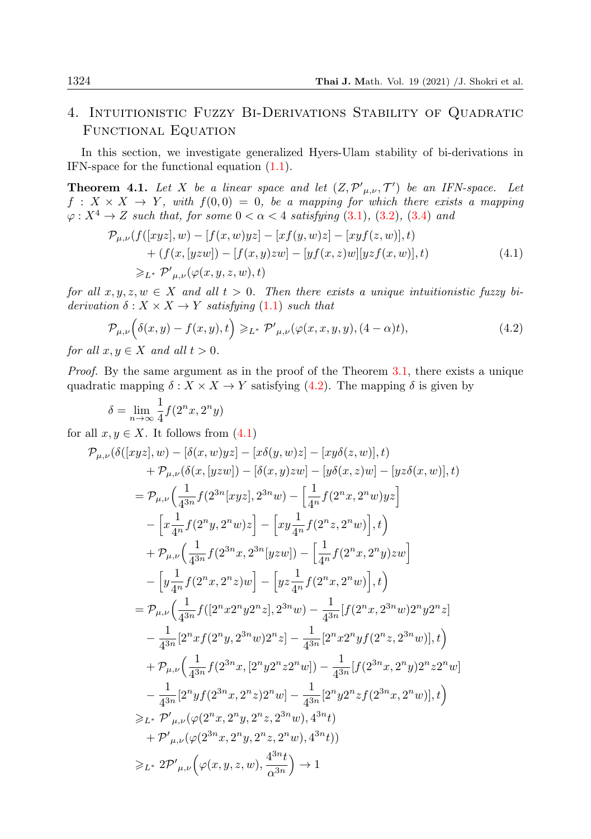## 4. Intuitionistic Fuzzy Bi-Derivations Stability of Quadratic Functional Equation

In this section, we investigate generalized Hyers-Ulam stability of bi-derivations in IFN-space for the functional equation [\(1.1\)](#page-1-1).

<span id="page-9-2"></span>**Theorem 4.1.** Let X be a linear space and let  $(Z, \mathcal{P}'_{\mu,\nu}, \mathcal{T}')$  be an IFN-space. Let  $f: X \times X \rightarrow Y$ , with  $f(0,0) = 0$ , be a mapping for which there exists a mapping  $\varphi: X^4 \to Z$  such that, for some  $0 < \alpha < 4$  satisfying [\(3](#page-4-4).1), (3.[2\)](#page-4-0), (3.[4\)](#page-4-1) and

<span id="page-9-1"></span>
$$
\mathcal{P}_{\mu,\nu}(f([xyz], w) - [f(x, w)yz] - [xf(y, w)z] - [xyf(z, w)], t) \n+ (f(x, [yzw]) - [f(x, y)zw] - [yf(x, z)w][yzf(x, w)], t) \n\geq_{L^*} \mathcal{P}'_{\mu,\nu}(\varphi(x, y, z, w), t)
$$
\n(4.1)

for all  $x, y, z, w \in X$  and all  $t > 0$ . Then there exists a unique intuitionistic fuzzy biderivation  $\delta: X \times X \rightarrow Y$  satisfying (1.[1\)](#page-1-1) such that

<span id="page-9-0"></span>
$$
\mathcal{P}_{\mu,\nu}\Big(\delta(x,y)-f(x,y),t\Big) \geqslant_{L^*} \mathcal{P}'_{\mu,\nu}(\varphi(x,x,y,y),(4-\alpha)t),\tag{4.2}
$$

for all  $x, y \in X$  and all  $t > 0$ .

Proof. By the same argument as in the proof of the Theorem [3.1,](#page-4-3) there exists a unique quadratic mapping  $\delta : X \times X \to Y$  satisfying [\(4.2\)](#page-9-0). The mapping  $\delta$  is given by

$$
\delta = \lim_{n \to \infty} \frac{1}{4} f(2^n x, 2^n y)
$$

for all  $x, y \in X$ . It follows from  $(4.1)$ 

$$
\begin{split}\n\mathcal{P}_{\mu,\nu}(\delta([xyz],w)-[\delta(x,w)yz]-[x\delta(y,w)z]-[xy\delta(z,w)],t) \\
&+\mathcal{P}_{\mu,\nu}(\delta(x,[yzw])-[\delta(x,y)zw]-[y\delta(x,z)w]-[yz\delta(x,w)],t) \\
&=\mathcal{P}_{\mu,\nu}\Big(\frac{1}{4^{3n}}f(2^{3n}[xyz],2^{3n}w)-\Big[\frac{1}{4^{n}}f(2^{n}x,2^{n}w)yz\Big] \\
&-\Big[x\frac{1}{4^{n}}f(2^{n}y,2^{n}w)z\Big]-\Big[xy\frac{1}{4^{n}}f(2^{n}z,2^{n}w)\Big],t\Big) \\
&+\mathcal{P}_{\mu,\nu}\Big(\frac{1}{4^{3n}}f(2^{3n}x,2^{3n}[yzw])-\Big[\frac{1}{4^{n}}f(2^{n}x,2^{n}y)zw\Big] \\
&-\Big[y\frac{1}{4^{n}}f(2^{n}x,2^{n}z)w\Big]-\Big[yz\frac{1}{4^{n}}f(2^{n}x,2^{n}w)\Big],t\Big) \\
&=\mathcal{P}_{\mu,\nu}\Big(\frac{1}{4^{3n}}f([2^{n}x2^{n}y2^{n}z],2^{3n}w)-\frac{1}{4^{3n}}[f(2^{n}x,2^{3n}w)2^{n}z] \\
&-\frac{1}{4^{3n}}[2^{n}xf(2^{n}y,2^{3n}w)2^{n}z]-\frac{1}{4^{3n}}[2^{n}x2^{n}yf(2^{n}z,2^{3n}w)],t\Big) \\
&+\mathcal{P}_{\mu,\nu}\Big(\frac{1}{4^{3n}}f(2^{3n}x,[2^{n}y2^{n}z^{n}w])-\frac{1}{4^{3n}}[f(2^{3n}x,2^{n}y)2^{n}z2^{n}w] \\
&-\frac{1}{4^{3n}}[2^{n}yf(2^{3n}x,2^{n}z)2^{n}w]-\frac{1}{4^{3n}}[2^{n}y2^{n}zf(2^{3n}x,2^{n}w)],t\Big) \\
&\geqslant L^{*}\mathcal{P}'_{\mu,\nu}(\varphi(2^{n}x,2^{n}y,2^{n}z,2^{3n}w),4^{3n}t) \\
&+\mathcal{P}'_{\mu,\nu}(\var
$$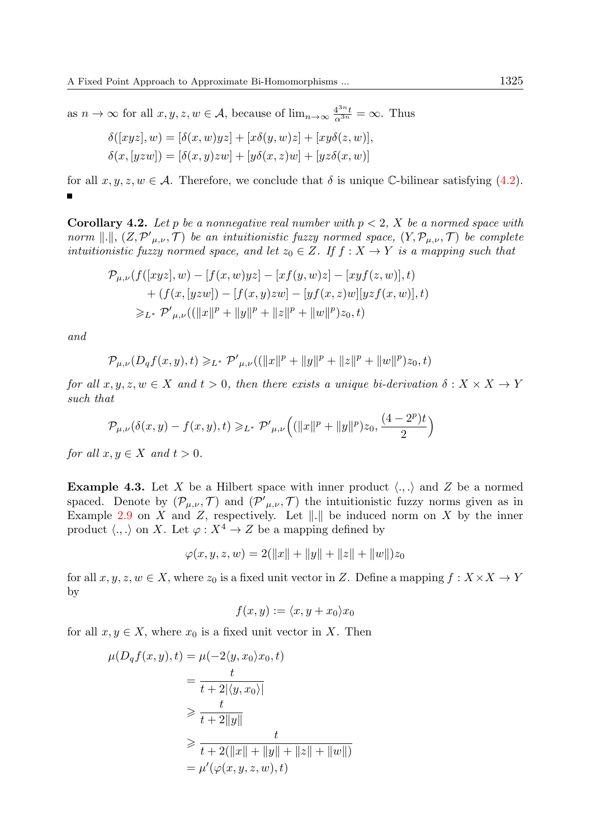as  $n \to \infty$  for all  $x, y, z, w \in \mathcal{A}$ , because of  $\lim_{n \to \infty} \frac{4^{3n} t}{\alpha^{3n}} = \infty$ . Thus

$$
\delta([xyz], w) = [\delta(x, w)yz] + [x\delta(y, w)z] + [xy\delta(z, w)],
$$
  

$$
\delta(x, [yzw]) = [\delta(x, y)zw] + [y\delta(x, z)w] + [yz\delta(x, w)]
$$

for all  $x, y, z, w \in A$ . Therefore, we conclude that  $\delta$  is unique C-bilinear satisfying [\(4.2\)](#page-9-0).

**Corollary 4.2.** Let p be a nonnegative real number with  $p < 2$ , X be a normed space with norm  $\Vert . \Vert, (Z, \mathcal{P'}_{\mu,\nu}, \mathcal{T})$  be an intuitionistic fuzzy normed space,  $(Y, \mathcal{P}_{\mu,\nu}, \mathcal{T})$  be complete intuitionistic fuzzy normed space, and let  $z_0 \in Z$ . If  $f : X \to Y$  is a mapping such that

$$
\mathcal{P}_{\mu,\nu}(f([xyz], w) - [f(x, w)yz] - [xf(y, w)z] - [xyf(z, w)], t) \n+ (f(x, [yzw]) - [f(x, y)zw] - [yf(x, z)w][yzf(x, w)], t) \n\geq_{L^*} \mathcal{P}'_{\mu,\nu}((\|x\|^p + \|y\|^p + \|z\|^p + \|w\|^p)z_0, t)
$$

and

$$
\mathcal{P}_{\mu,\nu}(D_qf(x,y),t) \geqslant_{L^*} \mathcal{P'}_{\mu,\nu}((\|x\|^p + \|y\|^p + \|z\|^p + \|w\|^p)z_0,t)
$$

for all  $x, y, z, w \in X$  and  $t > 0$ , then there exists a unique bi-derivation  $\delta: X \times X \to Y$ such that

$$
\mathcal{P}_{\mu,\nu}(\delta(x,y)-f(x,y),t)\geqslant_{L^*}\mathcal{P'}_{\mu,\nu}\Big((\|x\|^p+\|y\|^p)z_0,\frac{(4-2^p)t}{2}\Big)
$$

for all  $x, y \in X$  and  $t > 0$ .

**Example 4.3.** Let X be a Hilbert space with inner product  $\langle ., . \rangle$  and Z be a normed spaced. Denote by  $(\mathcal{P}_{\mu,\nu},\mathcal{T})$  and  $(\mathcal{P}'_{\mu,\nu},\mathcal{T})$  the intuitionistic fuzzy norms given as in Example [2.9](#page-4-5) on X and Z, respectively. Let  $\Vert . \Vert$  be induced norm on X by the inner product  $\langle ., . \rangle$  on X. Let  $\varphi : X^4 \to Z$  be a mapping defined by

$$
\varphi(x, y, z, w) = 2(||x|| + ||y|| + ||z|| + ||w||)z_0
$$

for all  $x, y, z, w \in X$ , where  $z_0$  is a fixed unit vector in Z. Define a mapping  $f: X \times X \to Y$ by

$$
f(x,y) := \langle x, y + x_0 \rangle x_0
$$

for all  $x, y \in X$ , where  $x_0$  is a fixed unit vector in X. Then

$$
\mu(D_q f(x, y), t) = \mu(-2\langle y, x_0 \rangle x_0, t)
$$
  
\n
$$
= \frac{t}{t + 2|\langle y, x_0 \rangle|}
$$
  
\n
$$
\geq \frac{t}{t + 2\|y\|}
$$
  
\n
$$
\geq \frac{t}{t + 2(\|x\| + \|y\| + \|z\| + \|w\|)}
$$
  
\n
$$
= \mu'(\varphi(x, y, z, w), t)
$$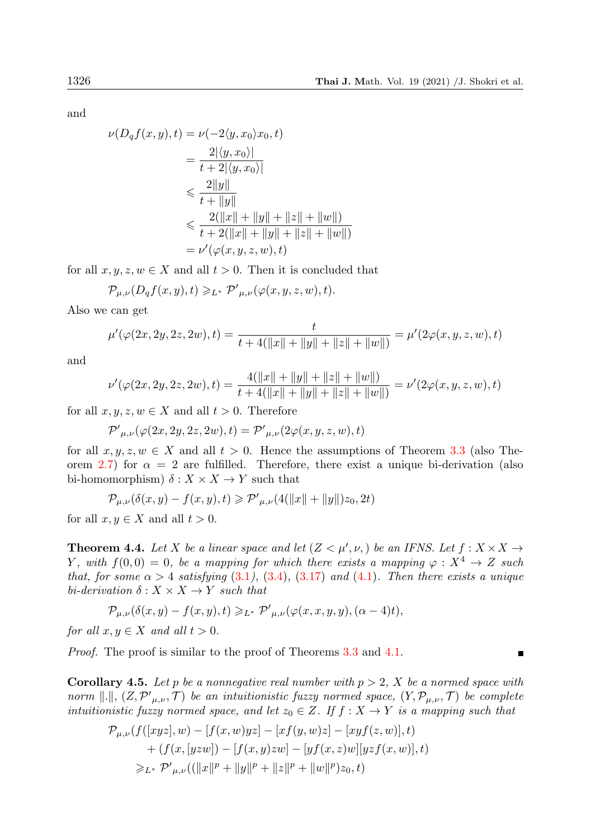and

$$
\nu(D_q f(x, y), t) = \nu(-2\langle y, x_0 \rangle x_0, t)
$$
  
= 
$$
\frac{2|\langle y, x_0 \rangle|}{t + 2|\langle y, x_0 \rangle|}
$$
  

$$
\leq \frac{2||y||}{t + ||y||}
$$
  

$$
\leq \frac{2(||x|| + ||y|| + ||z|| + ||w||)}{t + 2(||x|| + ||y|| + ||z|| + ||w||)}
$$
  
= 
$$
\nu'(\varphi(x, y, z, w), t)
$$

for all  $x, y, z, w \in X$  and all  $t > 0$ . Then it is concluded that

$$
\mathcal{P}_{\mu,\nu}(D_qf(x,y),t) \geqslant_{L^*} \mathcal{P'}_{\mu,\nu}(\varphi(x,y,z,w),t).
$$

Also we can get

$$
\mu'(\varphi(2x, 2y, 2z, 2w), t) = \frac{t}{t + 4(\|x\| + \|y\| + \|z\| + \|w\|)} = \mu'(2\varphi(x, y, z, w), t)
$$

and

$$
\nu'(\varphi(2x, 2y, 2z, 2w), t) = \frac{4(||x|| + ||y|| + ||z|| + ||w||)}{t + 4(||x|| + ||y|| + ||z|| + ||w||)} = \nu'(2\varphi(x, y, z, w), t)
$$

for all  $x, y, z, w \in X$  and all  $t > 0$ . Therefore

$$
\mathcal{P'}_{\mu,\nu}(\varphi(2x,2y,2z,2w),t)=\mathcal{P'}_{\mu,\nu}(2\varphi(x,y,z,w),t)
$$

for all  $x, y, z, w \in X$  and all  $t > 0$ . Hence the assumptions of Theorem [3.3](#page-7-2) (also The-orem [2.7\)](#page-3-0) for  $\alpha = 2$  are fulfilled. Therefore, there exist a unique bi-derivation (also bi-homomorphism)  $\delta: X \times X \rightarrow Y$  such that

 $\mathcal{P}_{\mu,\nu}(\delta(x,y) - f(x,y),t) \geqslant \mathcal{P'}_{\mu,\nu}(4(\|x\| + \|y\|)z_0, 2t)$ 

for all  $x, y \in X$  and all  $t > 0$ .

**Theorem 4.4.** Let X be a linear space and let  $(Z < \mu', \nu)$  be an IFNS. Let  $f : X \times X \rightarrow$ Y, with  $f(0,0) = 0$ , be a mapping for which there exists a mapping  $\varphi : X^4 \to Z$  such that, for some  $\alpha > 4$  satisfying  $(3.1)$  $(3.1)$  $(3.1)$ ,  $(3.4)$ ,  $(3.17)$  $(3.17)$  and  $(4.1)$ . Then there exists a unique bi-derivation  $\delta: X \times X \rightarrow Y$  such that

$$
\mathcal{P}_{\mu,\nu}(\delta(x,y)-f(x,y),t)\geqslant_{L^*}\mathcal{P'}_{\mu,\nu}(\varphi(x,x,y,y),(\alpha-4)t),
$$

for all  $x, y \in X$  and all  $t > 0$ .

Proof. The proof is similar to the proof of Theorems [3.3](#page-7-2) and [4.1.](#page-9-2)

**Corollary 4.5.** Let p be a nonnegative real number with  $p > 2$ , X be a normed space with norm  $\Vert . \Vert, (Z, \mathcal{P'}_{\mu,\nu}, \mathcal{T})$  be an intuitionistic fuzzy normed space,  $(Y, \mathcal{P}_{\mu,\nu}, \mathcal{T})$  be complete intuitionistic fuzzy normed space, and let  $z_0 \in Z$ . If  $f : X \to Y$  is a mapping such that

$$
\mathcal{P}_{\mu,\nu}(f([xyz], w) - [f(x, w)yz] - [xf(y, w)z] - [xyf(z, w)], t) \n+ (f(x, [yzw]) - [f(x, y)zw] - [yf(x, z)w][yzf(x, w)], t) \n\geq_{L^*} \mathcal{P}'_{\mu,\nu}((\|x\|^p + \|y\|^p + \|z\|^p + \|w\|^p)z_0, t)
$$

П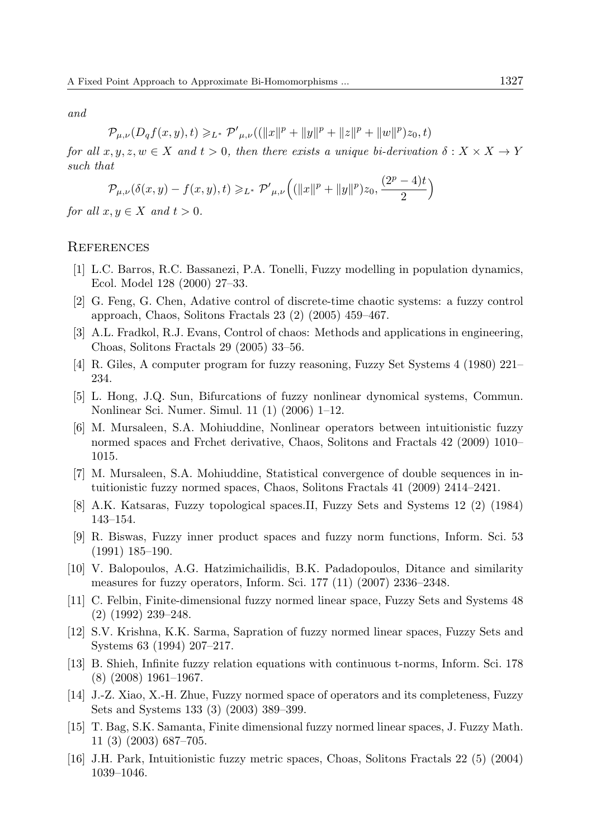and

$$
\mathcal{P}_{\mu,\nu}(D_qf(x,y),t) \geq L^* \, \mathcal{P'}_{\mu,\nu}((\|x\|^p + \|y\|^p + \|z\|^p + \|w\|^p)z_0,t)
$$

for all  $x, y, z, w \in X$  and  $t > 0$ , then there exists a unique bi-derivation  $\delta: X \times X \to Y$ such that

$$
\mathcal{P}_{\mu,\nu}(\delta(x,y) - f(x,y),t) \geq L^* \mathcal{P}'_{\mu,\nu} \left( (\|x\|^p + \|y\|^p) z_0, \frac{(2^p - 4)t}{2} \right)
$$

for all  $x, y \in X$  and  $t > 0$ .

#### **REFERENCES**

- <span id="page-12-0"></span>[1] L.C. Barros, R.C. Bassanezi, P.A. Tonelli, Fuzzy modelling in population dynamics, Ecol. Model 128 (2000) 27–33.
- <span id="page-12-1"></span>[2] G. Feng, G. Chen, Adative control of discrete-time chaotic systems: a fuzzy control approach, Chaos, Solitons Fractals 23 (2) (2005) 459–467.
- <span id="page-12-2"></span>[3] A.L. Fradkol, R.J. Evans, Control of chaos: Methods and applications in engineering, Choas, Solitons Fractals 29 (2005) 33–56.
- <span id="page-12-3"></span>[4] R. Giles, A computer program for fuzzy reasoning, Fuzzy Set Systems 4 (1980) 221– 234.
- <span id="page-12-4"></span>[5] L. Hong, J.Q. Sun, Bifurcations of fuzzy nonlinear dynomical systems, Commun. Nonlinear Sci. Numer. Simul. 11 (1) (2006) 1–12.
- <span id="page-12-5"></span>[6] M. Mursaleen, S.A. Mohiuddine, Nonlinear operators between intuitionistic fuzzy normed spaces and Frchet derivative, Chaos, Solitons and Fractals 42 (2009) 1010– 1015.
- <span id="page-12-6"></span>[7] M. Mursaleen, S.A. Mohiuddine, Statistical convergence of double sequences in intuitionistic fuzzy normed spaces, Chaos, Solitons Fractals 41 (2009) 2414–2421.
- <span id="page-12-7"></span>[8] A.K. Katsaras, Fuzzy topological spaces.II, Fuzzy Sets and Systems 12 (2) (1984) 143–154.
- <span id="page-12-8"></span>[9] R. Biswas, Fuzzy inner product spaces and fuzzy norm functions, Inform. Sci. 53 (1991) 185–190.
- <span id="page-12-9"></span>[10] V. Balopoulos, A.G. Hatzimichailidis, B.K. Padadopoulos, Ditance and similarity measures for fuzzy operators, Inform. Sci. 177 (11) (2007) 2336–2348.
- [11] C. Felbin, Finite-dimensional fuzzy normed linear space, Fuzzy Sets and Systems 48 (2) (1992) 239–248.
- [12] S.V. Krishna, K.K. Sarma, Sapration of fuzzy normed linear spaces, Fuzzy Sets and Systems 63 (1994) 207–217.
- [13] B. Shieh, Infinite fuzzy relation equations with continuous t-norms, Inform. Sci. 178 (8) (2008) 1961–1967.
- <span id="page-12-10"></span>[14] J.-Z. Xiao, X.-H. Zhue, Fuzzy normed space of operators and its completeness, Fuzzy Sets and Systems 133 (3) (2003) 389–399.
- <span id="page-12-11"></span>[15] T. Bag, S.K. Samanta, Finite dimensional fuzzy normed linear spaces, J. Fuzzy Math. 11 (3) (2003) 687–705.
- <span id="page-12-12"></span>[16] J.H. Park, Intuitionistic fuzzy metric spaces, Choas, Solitons Fractals 22 (5) (2004) 1039–1046.